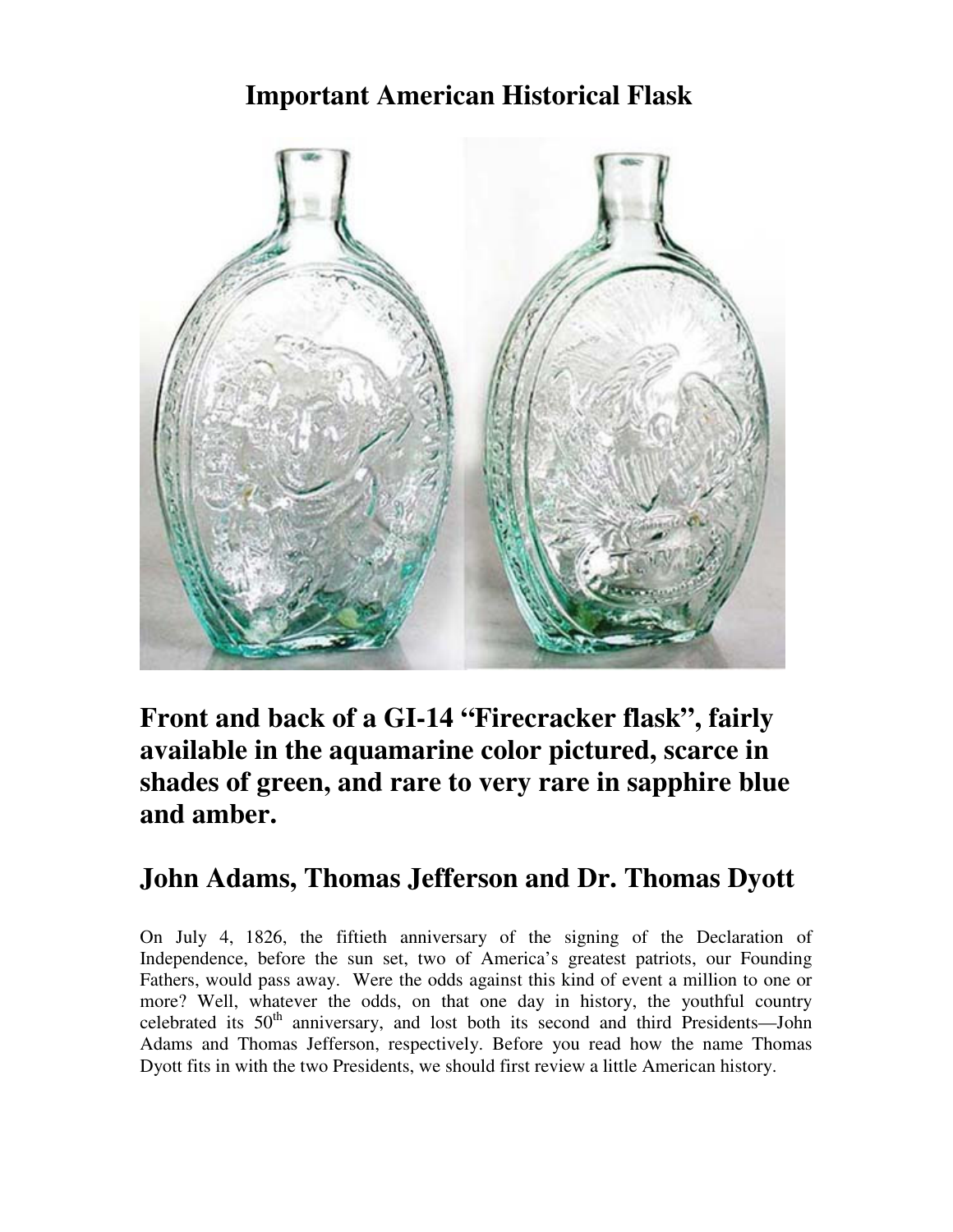# **Important American Historical Flask**



**Front and back of a GI-14 "Firecracker flask", fairly available in the aquamarine color pictured, scarce in shades of green, and rare to very rare in sapphire blue and amber.** 

## **John Adams, Thomas Jefferson and Dr. Thomas Dyott**

On July 4, 1826, the fiftieth anniversary of the signing of the Declaration of Independence, before the sun set, two of America's greatest patriots, our Founding Fathers, would pass away. Were the odds against this kind of event a million to one or more? Well, whatever the odds, on that one day in history, the youthful country celebrated its  $50<sup>th</sup>$  anniversary, and lost both its second and third Presidents—John Adams and Thomas Jefferson, respectively. Before you read how the name Thomas Dyott fits in with the two Presidents, we should first review a little American history.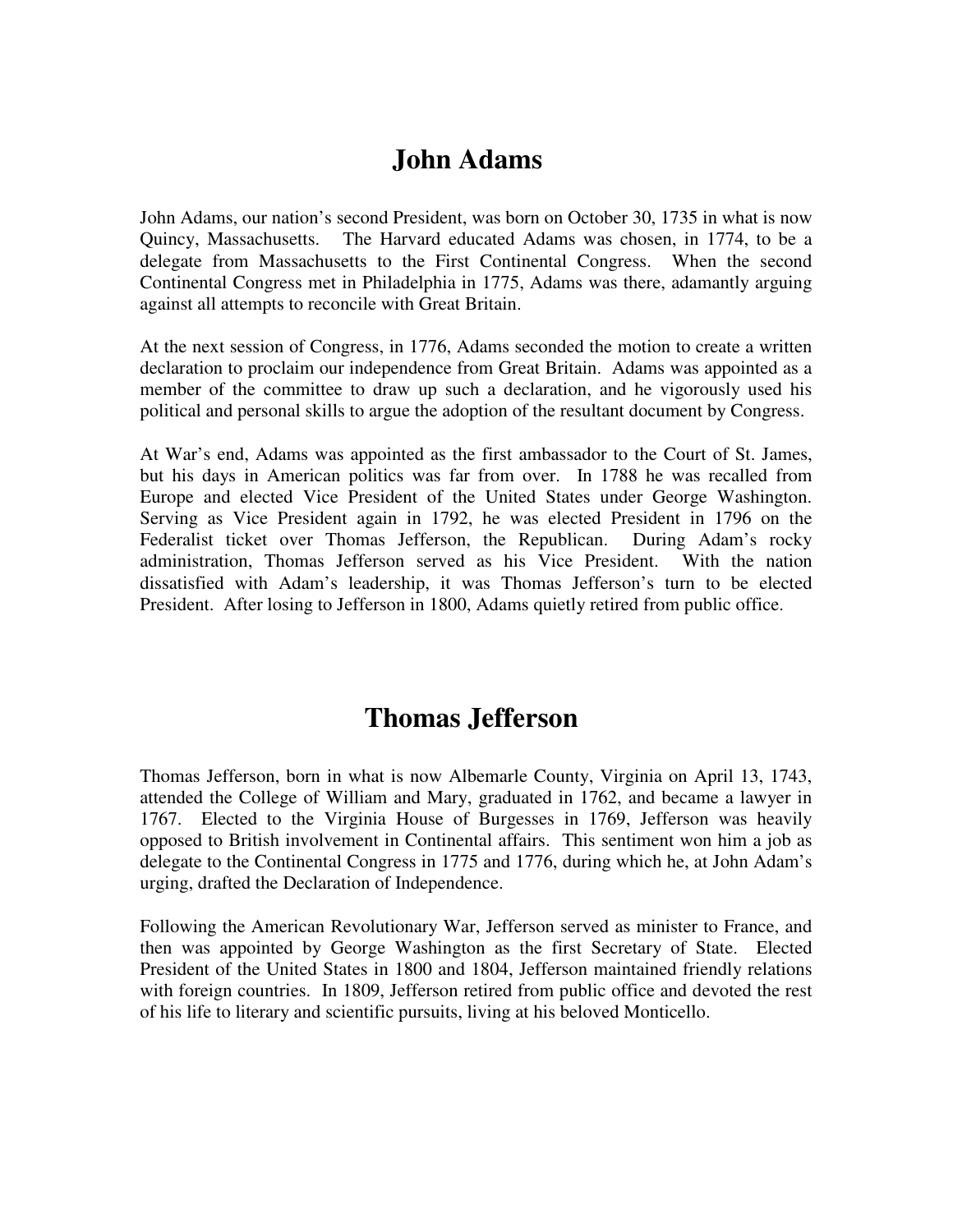### **John Adams**

John Adams, our nation's second President, was born on October 30, 1735 in what is now Quincy, Massachusetts. The Harvard educated Adams was chosen, in 1774, to be a delegate from Massachusetts to the First Continental Congress. When the second Continental Congress met in Philadelphia in 1775, Adams was there, adamantly arguing against all attempts to reconcile with Great Britain.

At the next session of Congress, in 1776, Adams seconded the motion to create a written declaration to proclaim our independence from Great Britain. Adams was appointed as a member of the committee to draw up such a declaration, and he vigorously used his political and personal skills to argue the adoption of the resultant document by Congress.

At War's end, Adams was appointed as the first ambassador to the Court of St. James, but his days in American politics was far from over. In 1788 he was recalled from Europe and elected Vice President of the United States under George Washington. Serving as Vice President again in 1792, he was elected President in 1796 on the Federalist ticket over Thomas Jefferson, the Republican. During Adam's rocky administration, Thomas Jefferson served as his Vice President. With the nation dissatisfied with Adam's leadership, it was Thomas Jefferson's turn to be elected President. After losing to Jefferson in 1800, Adams quietly retired from public office.

### **Thomas Jefferson**

Thomas Jefferson, born in what is now Albemarle County, Virginia on April 13, 1743, attended the College of William and Mary, graduated in 1762, and became a lawyer in 1767. Elected to the Virginia House of Burgesses in 1769, Jefferson was heavily opposed to British involvement in Continental affairs. This sentiment won him a job as delegate to the Continental Congress in 1775 and 1776, during which he, at John Adam's urging, drafted the Declaration of Independence.

Following the American Revolutionary War, Jefferson served as minister to France, and then was appointed by George Washington as the first Secretary of State. Elected President of the United States in 1800 and 1804, Jefferson maintained friendly relations with foreign countries. In 1809, Jefferson retired from public office and devoted the rest of his life to literary and scientific pursuits, living at his beloved Monticello.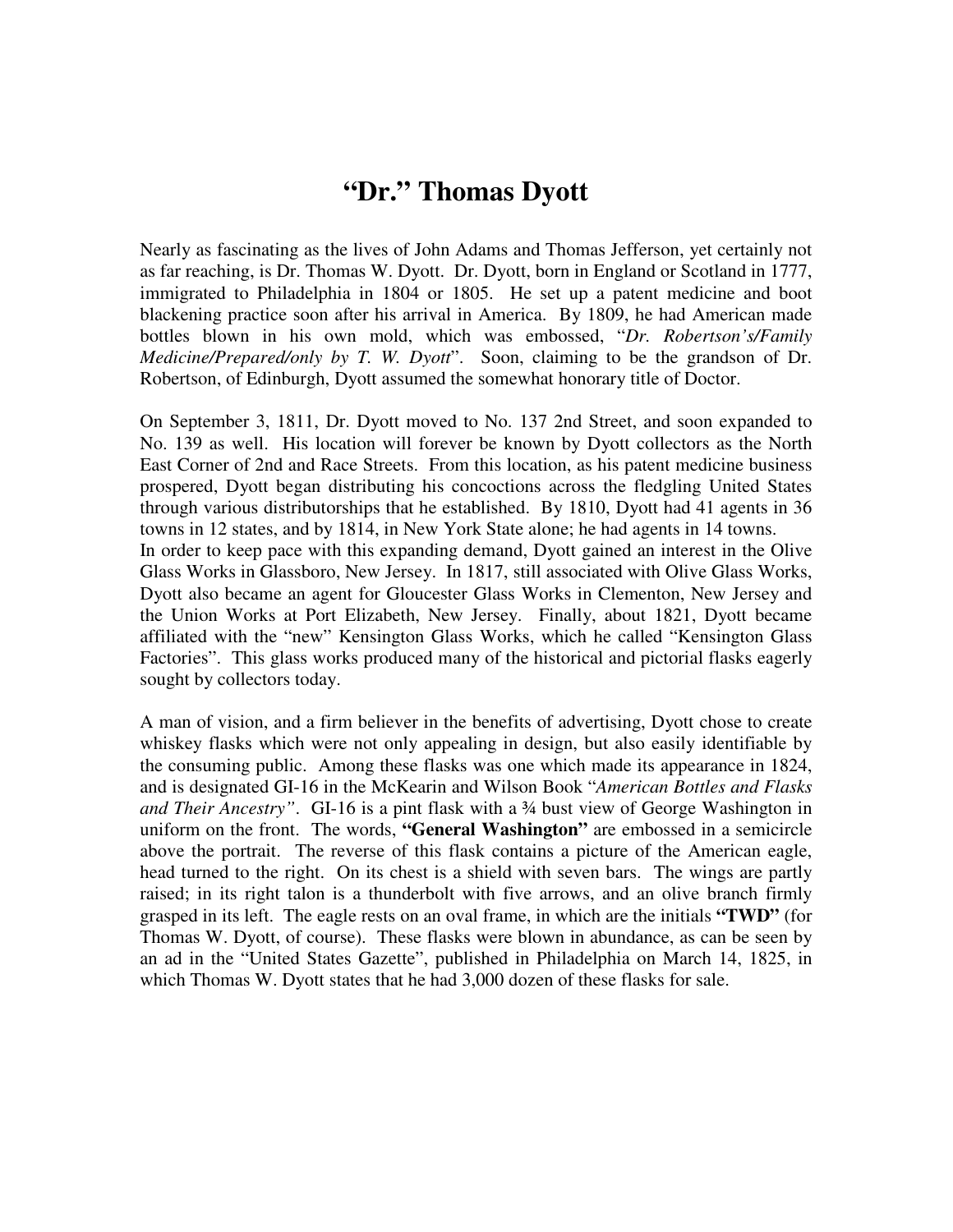#### **"Dr." Thomas Dyott**

Nearly as fascinating as the lives of John Adams and Thomas Jefferson, yet certainly not as far reaching, is Dr. Thomas W. Dyott. Dr. Dyott, born in England or Scotland in 1777, immigrated to Philadelphia in 1804 or 1805. He set up a patent medicine and boot blackening practice soon after his arrival in America. By 1809, he had American made bottles blown in his own mold, which was embossed, "*Dr. Robertson's/Family Medicine/Prepared/only by T. W. Dyott*". Soon, claiming to be the grandson of Dr. Robertson, of Edinburgh, Dyott assumed the somewhat honorary title of Doctor.

On September 3, 1811, Dr. Dyott moved to No. 137 2nd Street, and soon expanded to No. 139 as well. His location will forever be known by Dyott collectors as the North East Corner of 2nd and Race Streets. From this location, as his patent medicine business prospered, Dyott began distributing his concoctions across the fledgling United States through various distributorships that he established. By 1810, Dyott had 41 agents in 36 towns in 12 states, and by 1814, in New York State alone; he had agents in 14 towns. In order to keep pace with this expanding demand, Dyott gained an interest in the Olive Glass Works in Glassboro, New Jersey. In 1817, still associated with Olive Glass Works, Dyott also became an agent for Gloucester Glass Works in Clementon, New Jersey and the Union Works at Port Elizabeth, New Jersey. Finally, about 1821, Dyott became affiliated with the "new" Kensington Glass Works, which he called "Kensington Glass Factories". This glass works produced many of the historical and pictorial flasks eagerly sought by collectors today.

A man of vision, and a firm believer in the benefits of advertising, Dyott chose to create whiskey flasks which were not only appealing in design, but also easily identifiable by the consuming public. Among these flasks was one which made its appearance in 1824, and is designated GI-16 in the McKearin and Wilson Book "*American Bottles and Flasks and Their Ancestry"*. GI-16 is a pint flask with a ¾ bust view of George Washington in uniform on the front. The words, **"General Washington"** are embossed in a semicircle above the portrait. The reverse of this flask contains a picture of the American eagle, head turned to the right. On its chest is a shield with seven bars. The wings are partly raised; in its right talon is a thunderbolt with five arrows, and an olive branch firmly grasped in its left. The eagle rests on an oval frame, in which are the initials **"TWD"** (for Thomas W. Dyott, of course). These flasks were blown in abundance, as can be seen by an ad in the "United States Gazette", published in Philadelphia on March 14, 1825, in which Thomas W. Dyott states that he had 3,000 dozen of these flasks for sale.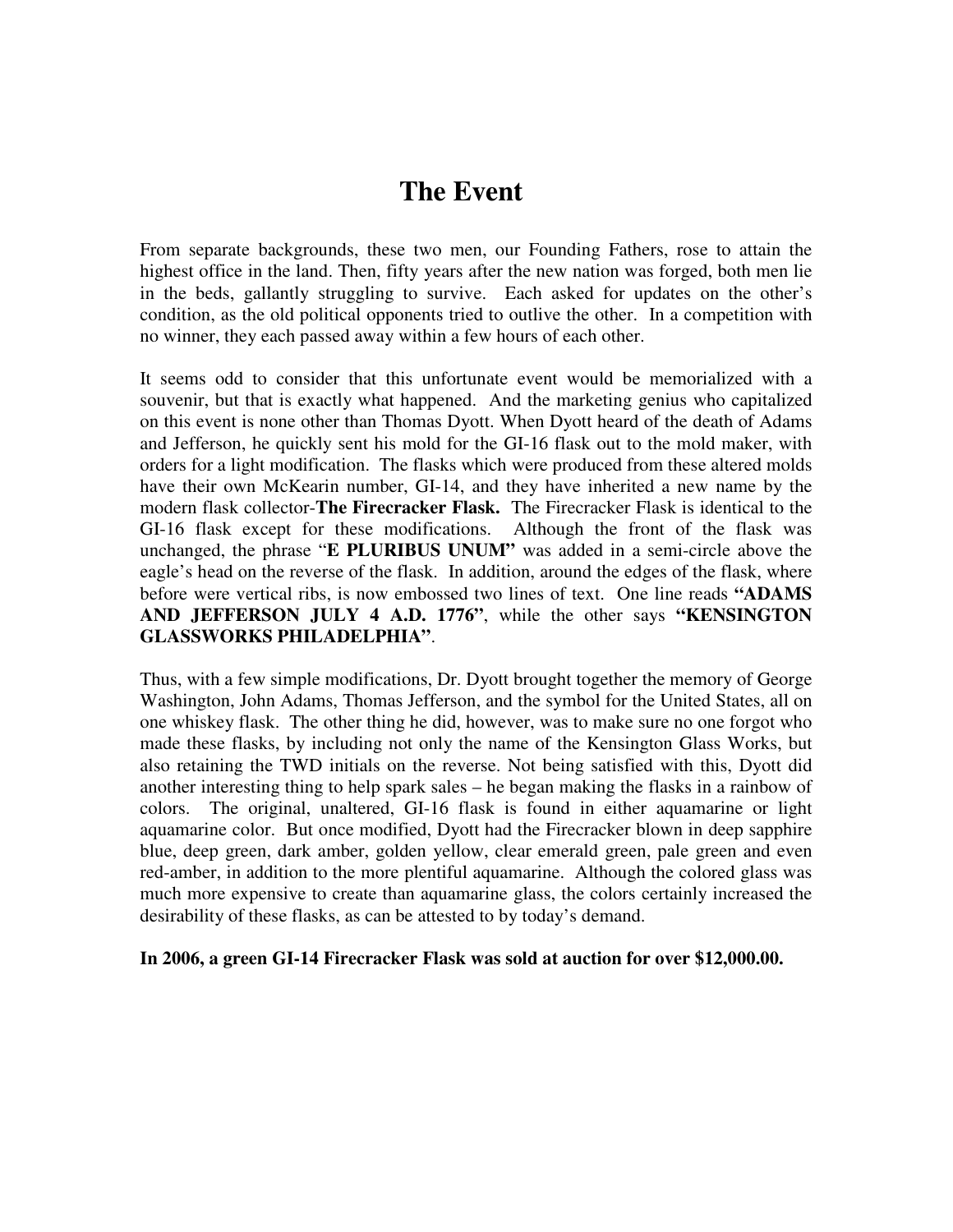### **The Event**

From separate backgrounds, these two men, our Founding Fathers, rose to attain the highest office in the land. Then, fifty years after the new nation was forged, both men lie in the beds, gallantly struggling to survive. Each asked for updates on the other's condition, as the old political opponents tried to outlive the other. In a competition with no winner, they each passed away within a few hours of each other.

It seems odd to consider that this unfortunate event would be memorialized with a souvenir, but that is exactly what happened. And the marketing genius who capitalized on this event is none other than Thomas Dyott. When Dyott heard of the death of Adams and Jefferson, he quickly sent his mold for the GI-16 flask out to the mold maker, with orders for a light modification. The flasks which were produced from these altered molds have their own McKearin number, GI-14, and they have inherited a new name by the modern flask collector-**The Firecracker Flask.** The Firecracker Flask is identical to the GI-16 flask except for these modifications. Although the front of the flask was unchanged, the phrase "**E PLURIBUS UNUM"** was added in a semi-circle above the eagle's head on the reverse of the flask. In addition, around the edges of the flask, where before were vertical ribs, is now embossed two lines of text. One line reads **"ADAMS AND JEFFERSON JULY 4 A.D. 1776"**, while the other says **"KENSINGTON GLASSWORKS PHILADELPHIA"**.

Thus, with a few simple modifications, Dr. Dyott brought together the memory of George Washington, John Adams, Thomas Jefferson, and the symbol for the United States, all on one whiskey flask. The other thing he did, however, was to make sure no one forgot who made these flasks, by including not only the name of the Kensington Glass Works, but also retaining the TWD initials on the reverse. Not being satisfied with this, Dyott did another interesting thing to help spark sales – he began making the flasks in a rainbow of colors. The original, unaltered, GI-16 flask is found in either aquamarine or light aquamarine color. But once modified, Dyott had the Firecracker blown in deep sapphire blue, deep green, dark amber, golden yellow, clear emerald green, pale green and even red-amber, in addition to the more plentiful aquamarine. Although the colored glass was much more expensive to create than aquamarine glass, the colors certainly increased the desirability of these flasks, as can be attested to by today's demand.

**In 2006, a green GI-14 Firecracker Flask was sold at auction for over \$12,000.00.**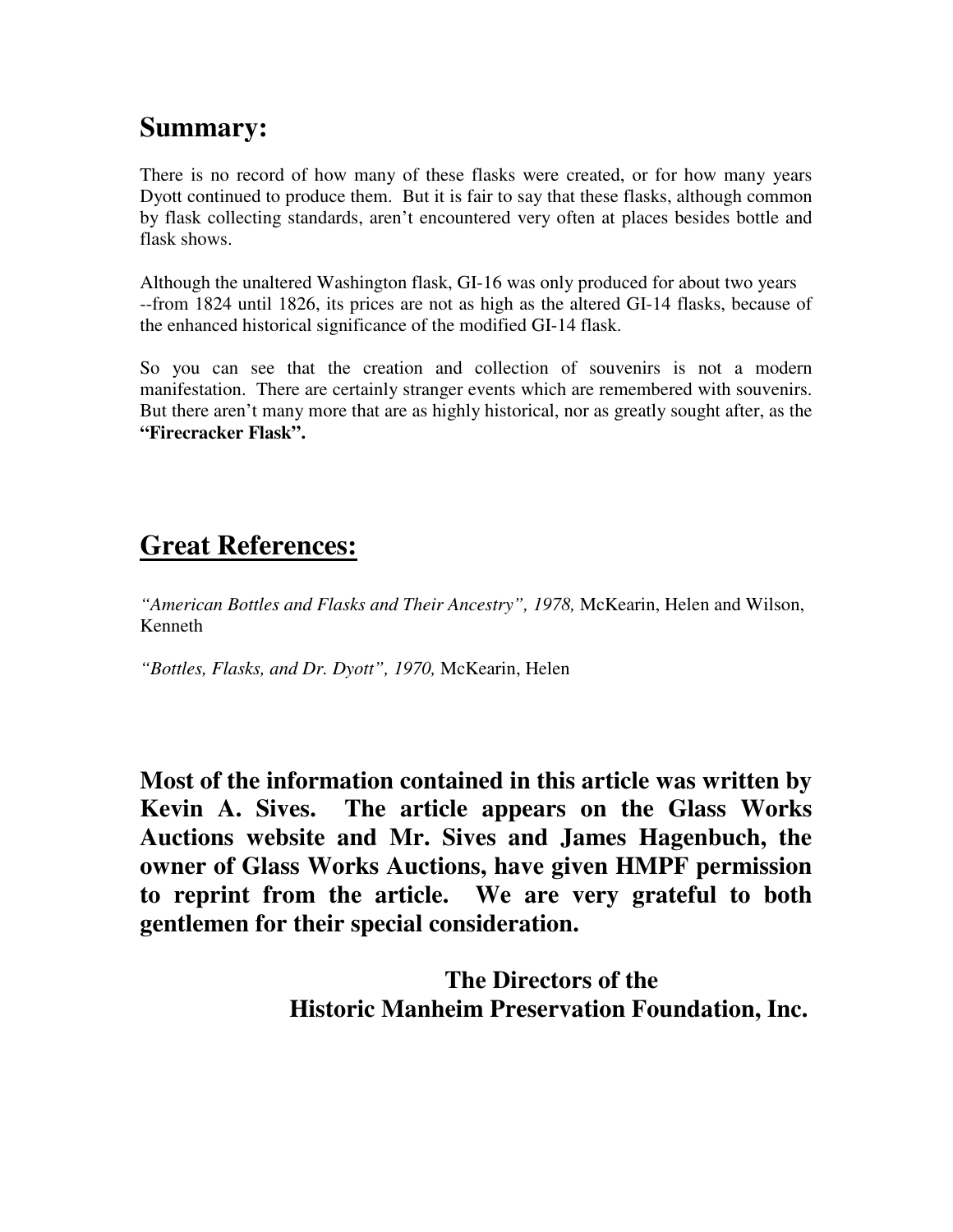# **Summary:**

There is no record of how many of these flasks were created, or for how many years Dyott continued to produce them. But it is fair to say that these flasks, although common by flask collecting standards, aren't encountered very often at places besides bottle and flask shows.

Although the unaltered Washington flask, GI-16 was only produced for about two years --from 1824 until 1826, its prices are not as high as the altered GI-14 flasks, because of the enhanced historical significance of the modified GI-14 flask.

So you can see that the creation and collection of souvenirs is not a modern manifestation. There are certainly stranger events which are remembered with souvenirs. But there aren't many more that are as highly historical, nor as greatly sought after, as the **"Firecracker Flask".** 

## **Great References:**

*"American Bottles and Flasks and Their Ancestry", 1978,* McKearin, Helen and Wilson, Kenneth

*"Bottles, Flasks, and Dr. Dyott", 1970,* McKearin, Helen

**Most of the information contained in this article was written by Kevin A. Sives. The article appears on the Glass Works Auctions website and Mr. Sives and James Hagenbuch, the owner of Glass Works Auctions, have given HMPF permission to reprint from the article. We are very grateful to both gentlemen for their special consideration.** 

> **The Directors of the Historic Manheim Preservation Foundation, Inc.**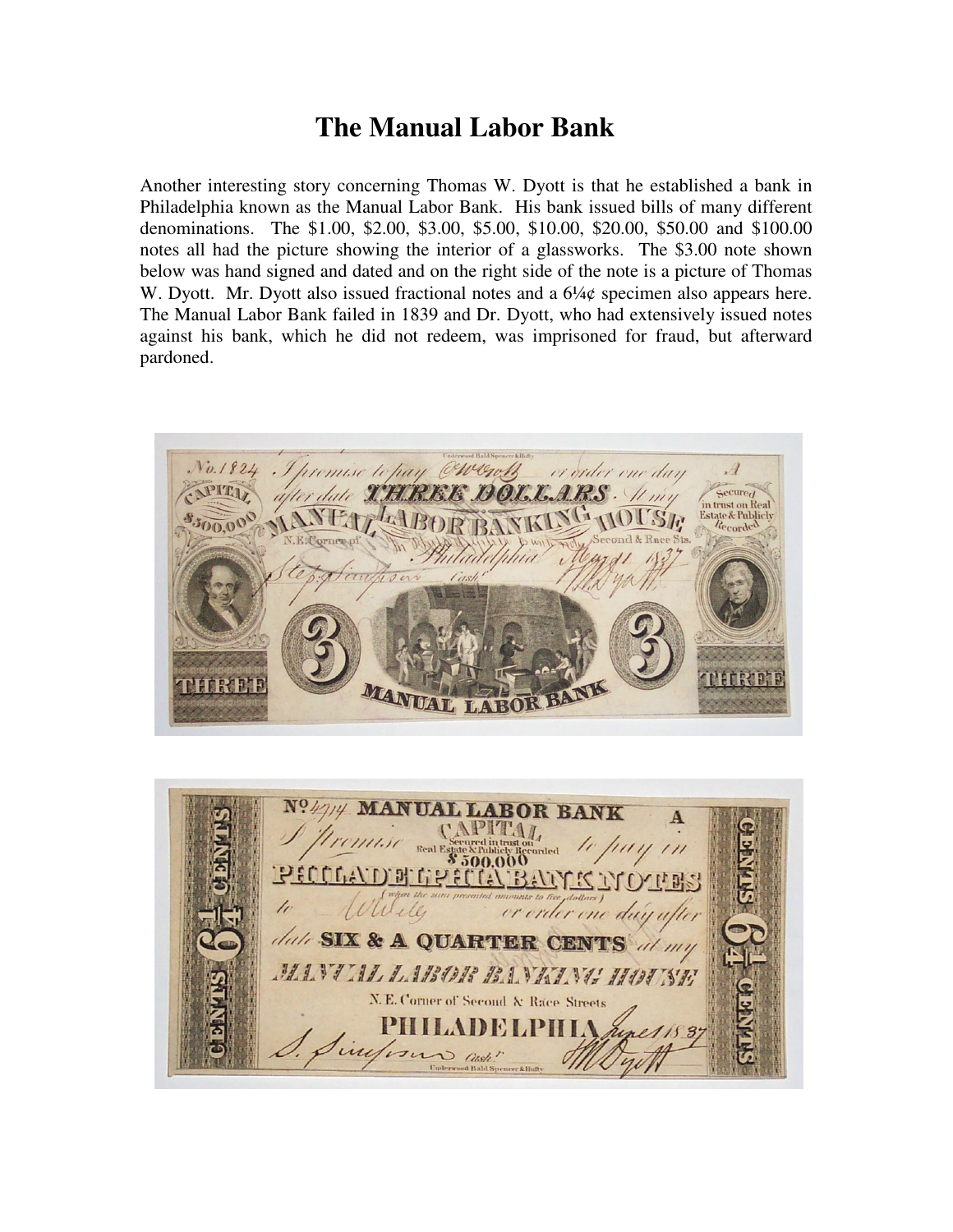### **The Manual Labor Bank**

Another interesting story concerning Thomas W. Dyott is that he established a bank in Philadelphia known as the Manual Labor Bank. His bank issued bills of many different denominations. The \$1.00, \$2.00, \$3.00, \$5.00, \$10.00, \$20.00, \$50.00 and \$100.00 notes all had the picture showing the interior of a glassworks. The \$3.00 note shown below was hand signed and dated and on the right side of the note is a picture of Thomas W. Dyott. Mr. Dyott also issued fractional notes and a  $6\frac{1}{4}$  specimen also appears here. The Manual Labor Bank failed in 1839 and Dr. Dyott, who had extensively issued notes against his bank, which he did not redeem, was imprisoned for fraud, but afterward pardoned.